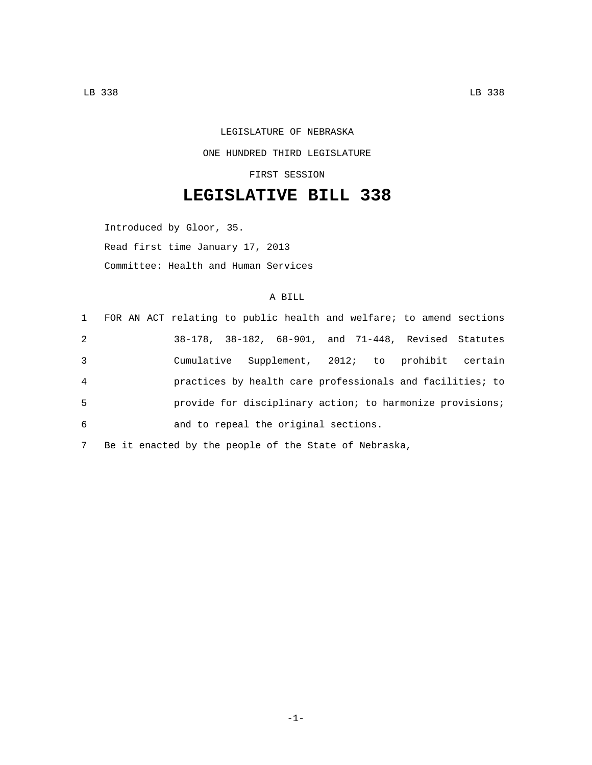## LEGISLATURE OF NEBRASKA ONE HUNDRED THIRD LEGISLATURE

FIRST SESSION

## **LEGISLATIVE BILL 338**

Introduced by Gloor, 35. Read first time January 17, 2013 Committee: Health and Human Services

## A BILL

|                | 1 FOR AN ACT relating to public health and welfare; to amend sections |                                                           |  |  |  |
|----------------|-----------------------------------------------------------------------|-----------------------------------------------------------|--|--|--|
| 2              |                                                                       | 38-178, 38-182, 68-901, and 71-448, Revised Statutes      |  |  |  |
| 3              |                                                                       | Cumulative Supplement, 2012; to prohibit certain          |  |  |  |
| $\overline{4}$ |                                                                       | practices by health care professionals and facilities; to |  |  |  |
| 5              |                                                                       | provide for disciplinary action; to harmonize provisions; |  |  |  |
| 6              |                                                                       | and to repeal the original sections.                      |  |  |  |
|                |                                                                       |                                                           |  |  |  |

7 Be it enacted by the people of the State of Nebraska,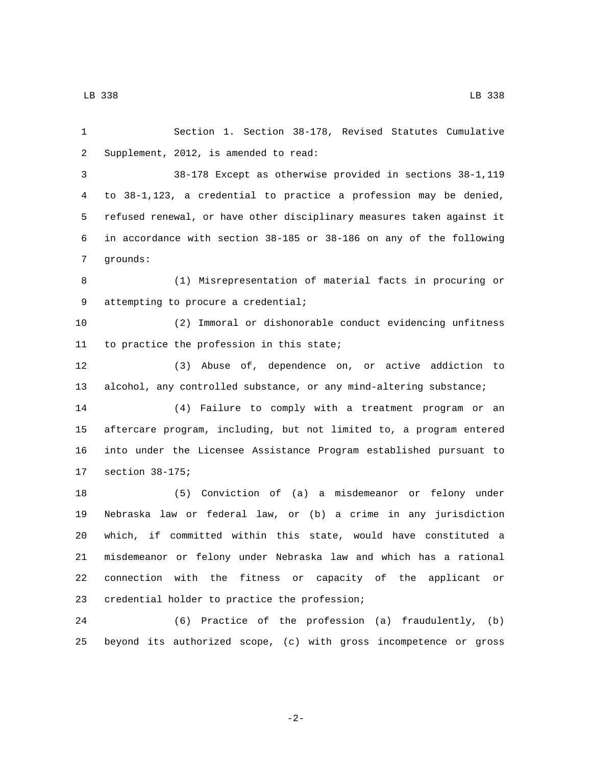7 grounds:

 Section 1. Section 38-178, Revised Statutes Cumulative 2 Supplement, 2012, is amended to read: 38-178 Except as otherwise provided in sections 38-1,119 to 38-1,123, a credential to practice a profession may be denied, refused renewal, or have other disciplinary measures taken against it in accordance with section 38-185 or 38-186 on any of the following (1) Misrepresentation of material facts in procuring or 9 attempting to procure a credential; (2) Immoral or dishonorable conduct evidencing unfitness 11 to practice the profession in this state; (3) Abuse of, dependence on, or active addiction to alcohol, any controlled substance, or any mind-altering substance;

 (4) Failure to comply with a treatment program or an aftercare program, including, but not limited to, a program entered into under the Licensee Assistance Program established pursuant to 17 section 38-175;

 (5) Conviction of (a) a misdemeanor or felony under Nebraska law or federal law, or (b) a crime in any jurisdiction which, if committed within this state, would have constituted a misdemeanor or felony under Nebraska law and which has a rational connection with the fitness or capacity of the applicant or 23 credential holder to practice the profession;

 (6) Practice of the profession (a) fraudulently, (b) beyond its authorized scope, (c) with gross incompetence or gross

-2-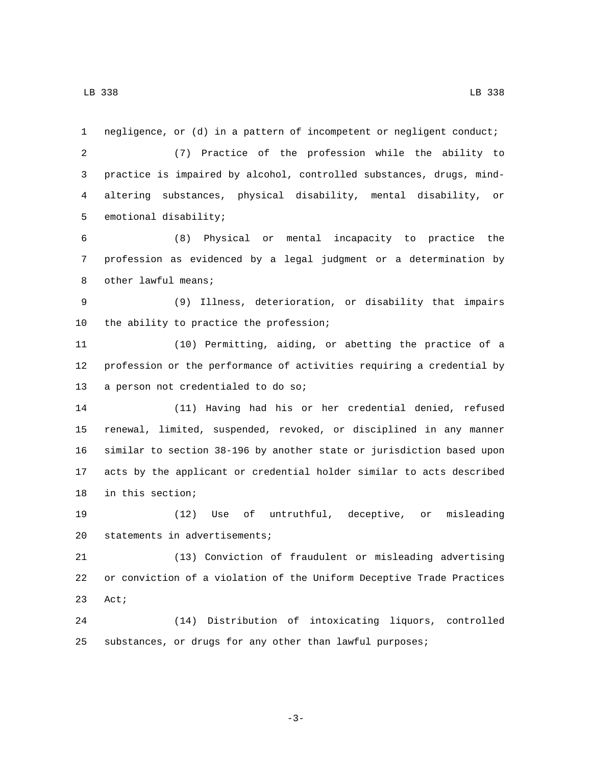negligence, or (d) in a pattern of incompetent or negligent conduct; (7) Practice of the profession while the ability to practice is impaired by alcohol, controlled substances, drugs, mind- altering substances, physical disability, mental disability, or 5 emotional disability; (8) Physical or mental incapacity to practice the profession as evidenced by a legal judgment or a determination by

8 other lawful means;

 (9) Illness, deterioration, or disability that impairs 10 the ability to practice the profession;

 (10) Permitting, aiding, or abetting the practice of a profession or the performance of activities requiring a credential by 13 a person not credentialed to do so;

 (11) Having had his or her credential denied, refused renewal, limited, suspended, revoked, or disciplined in any manner similar to section 38-196 by another state or jurisdiction based upon acts by the applicant or credential holder similar to acts described 18 in this section;

 (12) Use of untruthful, deceptive, or misleading 20 statements in advertisements;

 (13) Conviction of fraudulent or misleading advertising or conviction of a violation of the Uniform Deceptive Trade Practices 23 Act;

 (14) Distribution of intoxicating liquors, controlled substances, or drugs for any other than lawful purposes;

-3-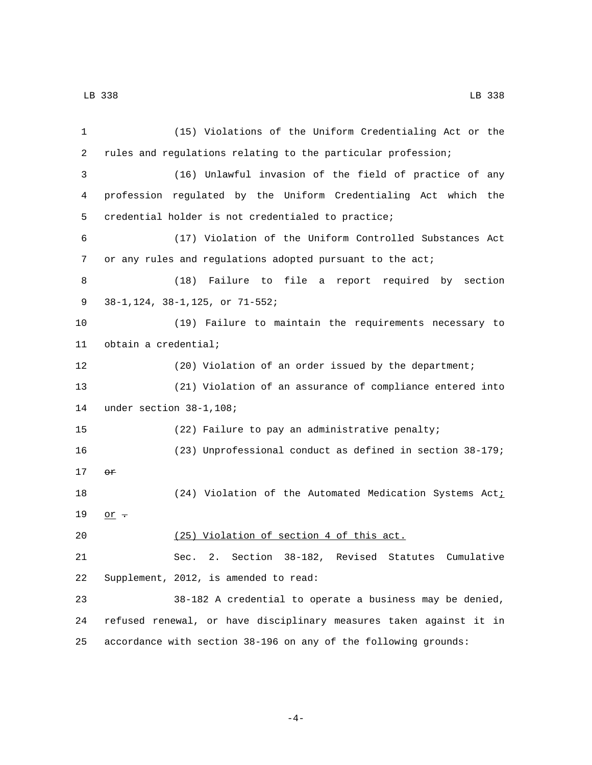(15) Violations of the Uniform Credentialing Act or the rules and regulations relating to the particular profession; (16) Unlawful invasion of the field of practice of any profession regulated by the Uniform Credentialing Act which the 5 credential holder is not credentialed to practice; (17) Violation of the Uniform Controlled Substances Act or any rules and regulations adopted pursuant to the act; (18) Failure to file a report required by section 38-1,124, 38-1,125, or 71-552;9 (19) Failure to maintain the requirements necessary to 11 obtain a credential; (20) Violation of an order issued by the department; (21) Violation of an assurance of compliance entered into 14 under section 38-1,108; (22) Failure to pay an administrative penalty; (23) Unprofessional conduct as defined in section 38-179;  $\sigma$ r 18 (24) Violation of the Automated Medication Systems Act<sub>i</sub> 19  $or -$  (25) Violation of section 4 of this act. Sec. 2. Section 38-182, Revised Statutes Cumulative Supplement, 2012, is amended to read: 38-182 A credential to operate a business may be denied, refused renewal, or have disciplinary measures taken against it in accordance with section 38-196 on any of the following grounds:

-4-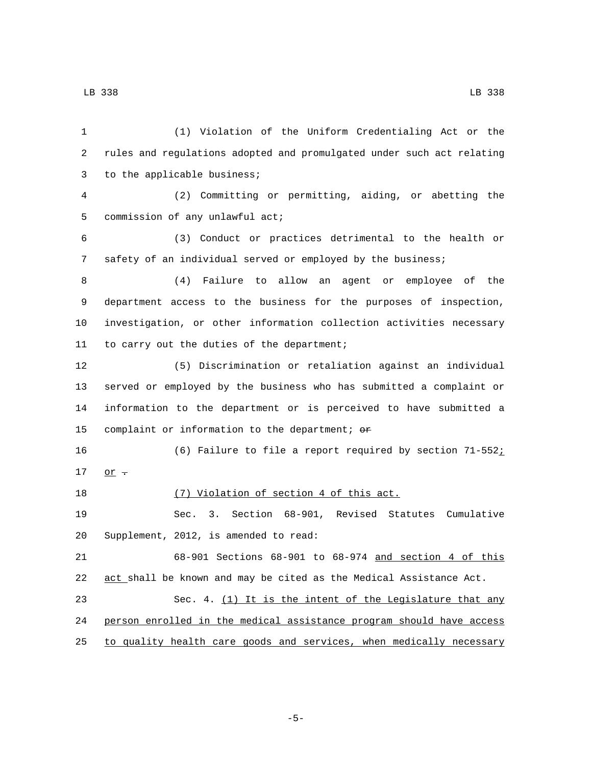| 1  | (1) Violation of the Uniform Credentialing Act or the                 |
|----|-----------------------------------------------------------------------|
| 2  | rules and regulations adopted and promulgated under such act relating |
| 3  | to the applicable business;                                           |
| 4  | (2) Committing or permitting, aiding, or abetting the                 |
| 5  | commission of any unlawful act;                                       |
| 6  | (3) Conduct or practices detrimental to the health or                 |
| 7  | safety of an individual served or employed by the business;           |
| 8  | Failure to allow an agent or employee of the<br>(4)                   |
| 9  | department access to the business for the purposes of inspection,     |
| 10 | investigation, or other information collection activities necessary   |
| 11 | to carry out the duties of the department;                            |
| 12 | (5) Discrimination or retaliation against an individual               |
| 13 | served or employed by the business who has submitted a complaint or   |
| 14 | information to the department or is perceived to have submitted a     |
| 15 | complaint or information to the department; or                        |
| 16 | (6) Failure to file a report required by section 71-552;              |
| 17 | $\overline{or}$ $\overline{\cdot}$                                    |
| 18 | (7) Violation of section 4 of this act.                               |
| 19 | Sec. 3. Section 68-901, Revised Statutes<br>Cumulative                |
| 20 | Supplement, 2012, is amended to read:                                 |
| 21 | 68-901 Sections 68-901 to 68-974 and section 4 of this                |
| 22 | act shall be known and may be cited as the Medical Assistance Act.    |
| 23 | Sec. 4. (1) It is the intent of the Legislature that any              |
| 24 | person enrolled in the medical assistance program should have access  |
| 25 | to quality health care goods and services, when medically necessary   |

-5-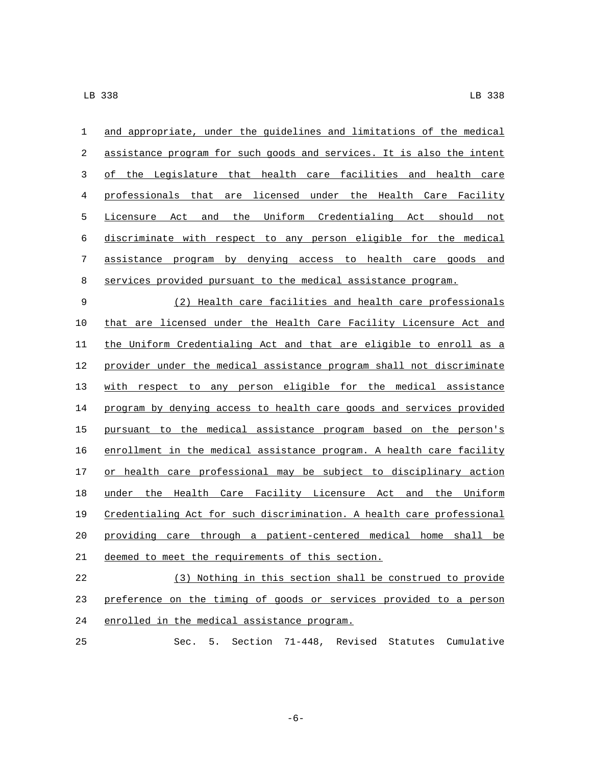and appropriate, under the guidelines and limitations of the medical assistance program for such goods and services. It is also the intent of the Legislature that health care facilities and health care professionals that are licensed under the Health Care Facility Licensure Act and the Uniform Credentialing Act should not discriminate with respect to any person eligible for the medical assistance program by denying access to health care goods and services provided pursuant to the medical assistance program. (2) Health care facilities and health care professionals that are licensed under the Health Care Facility Licensure Act and the Uniform Credentialing Act and that are eligible to enroll as a provider under the medical assistance program shall not discriminate with respect to any person eligible for the medical assistance program by denying access to health care goods and services provided pursuant to the medical assistance program based on the person's enrollment in the medical assistance program. A health care facility 17 or health care professional may be subject to disciplinary action under the Health Care Facility Licensure Act and the Uniform Credentialing Act for such discrimination. A health care professional providing care through a patient-centered medical home shall be 21 deemed to meet the requirements of this section. (3) Nothing in this section shall be construed to provide

23 preference on the timing of goods or services provided to a person 24 enrolled in the medical assistance program.

Sec. 5. Section 71-448, Revised Statutes Cumulative

-6-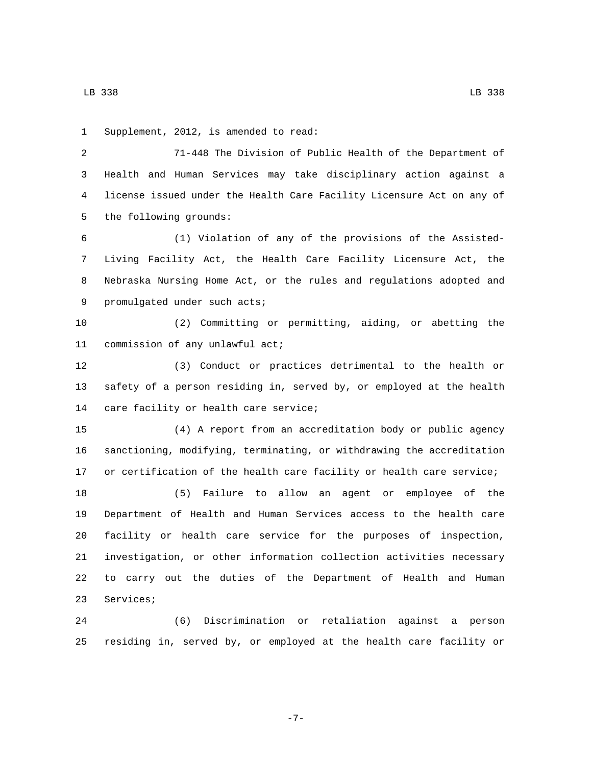1 Supplement, 2012, is amended to read: 71-448 The Division of Public Health of the Department of

 Health and Human Services may take disciplinary action against a license issued under the Health Care Facility Licensure Act on any of 5 the following grounds:

 (1) Violation of any of the provisions of the Assisted- Living Facility Act, the Health Care Facility Licensure Act, the Nebraska Nursing Home Act, or the rules and regulations adopted and 9 promulgated under such acts;

 (2) Committing or permitting, aiding, or abetting the 11 commission of any unlawful act;

 (3) Conduct or practices detrimental to the health or safety of a person residing in, served by, or employed at the health 14 care facility or health care service;

 (4) A report from an accreditation body or public agency sanctioning, modifying, terminating, or withdrawing the accreditation or certification of the health care facility or health care service;

 (5) Failure to allow an agent or employee of the Department of Health and Human Services access to the health care facility or health care service for the purposes of inspection, investigation, or other information collection activities necessary to carry out the duties of the Department of Health and Human 23 Services;

 (6) Discrimination or retaliation against a person residing in, served by, or employed at the health care facility or

-7-